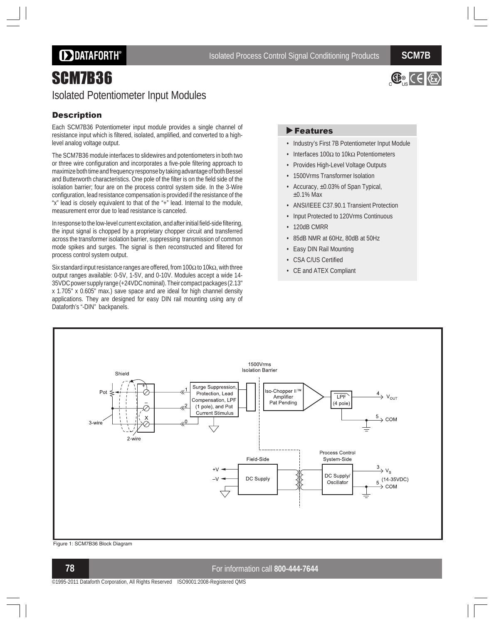# **DDATAFORTH®**

# SCM7B36

### Isolated Potentiometer Input Modules

### **Description**

Each SCM7B36 Potentiometer input module provides a single channel of resistance input which is filtered, isolated, amplified, and converted to a highlevel analog voltage output.

The SCM7B36 module interfaces to slidewires and potentiometers in both two or three wire configuration and incorporates a five-pole filtering approach to maximize both time and frequency response by taking advantage of both Bessel and Butterworth characteristics. One pole of the filter is on the field side of the isolation barrier; four are on the process control system side. In the 3-Wire configuration, lead resistance compensation is provided if the resistance of the "x" lead is closely equivalent to that of the "+" lead. Internal to the module, measurement error due to lead resistance is canceled.

In response to the low-level current excitation, and after initial field-side filtering, the input signal is chopped by a proprietary chopper circuit and transferred across the transformer isolation barrier, suppressing transmission of common mode spikes and surges. The signal is then reconstructed and filtered for process control system output.

Six standard input resistance ranges are offered, from 100Ω to 10kΩ, with three output ranges available: 0-5V, 1-5V, and 0-10V. Modules accept a wide 14- 35VDC power supply range (+24VDC nominal). Their compact packages (2.13" x 1.705" x 0.605" max.) save space and are ideal for high channel density applications. They are designed for easy DIN rail mounting using any of Dataforth's "-DIN" backpanels.

# $\overline{\mathbb{G}_{\text{us}}}$   $\overline{\mathbb{G}_{\text{cs}}}$

#### **Features**

- Industry's First 7B Potentiometer Input Module
- Interfaces 100Ω to 10kΩ Potentiometers
- Provides High-Level Voltage Outputs
- 1500Vrms Transformer Isolation
- Accuracy, ±0.03% of Span Typical, ±0.1% Max
- ANSI/IEEE C37.90.1 Transient Protection
- Input Protected to 120Vrms Continuous
- 120dB CMRR
- 85dB NMR at 60Hz, 80dB at 50Hz
- Easy DIN Rail Mounting
- CSA C/US Certified
- CE and ATEX Compliant



Figure 1: SCM7B36 Block Diagram

### **78** For information call **800-444-7644**

©1995-2011 Dataforth Corporation, All Rights Reserved ISO9001:2008-Registered QMS